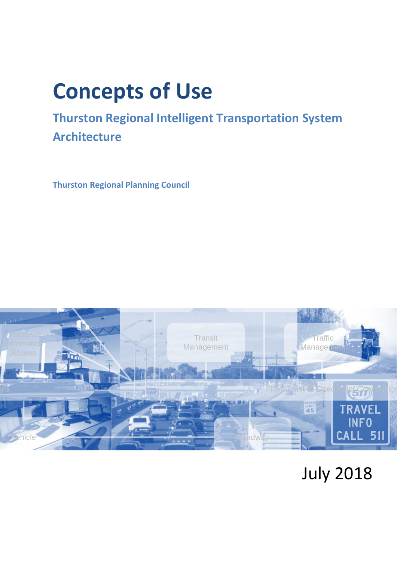# **Concepts of Use**

## **Thurston Regional Intelligent Transportation System Architecture**

**Thurston Regional Planning Council**



## July 2018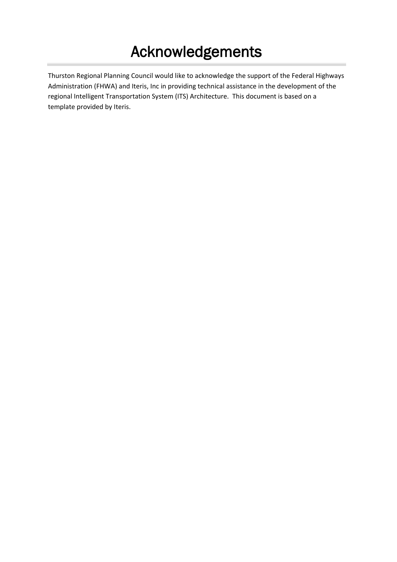## Acknowledgements

Thurston Regional Planning Council would like to acknowledge the support of the Federal Highways Administration (FHWA) and Iteris, Inc in providing technical assistance in the development of the regional Intelligent Transportation System (ITS) Architecture. This document is based on a template provided by Iteris.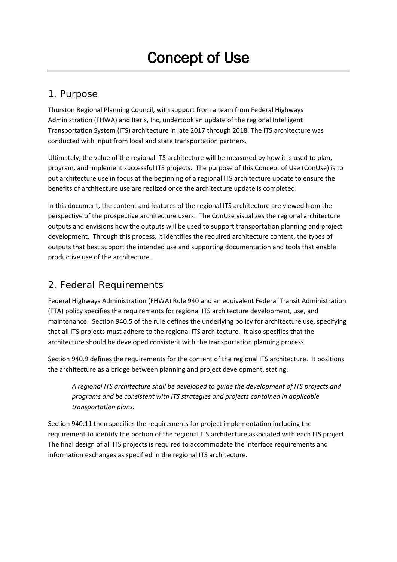## 1. Purpose

Thurston Regional Planning Council, with support from a team from Federal Highways Administration (FHWA) and Iteris, Inc, undertook an update of the regional Intelligent Transportation System (ITS) architecture in late 2017 through 2018. The ITS architecture was conducted with input from local and state transportation partners.

Ultimately, the value of the regional ITS architecture will be measured by how it is used to plan, program, and implement successful ITS projects. The purpose of this Concept of Use (ConUse) is to put architecture use in focus at the beginning of a regional ITS architecture update to ensure the benefits of architecture use are realized once the architecture update is completed.

In this document, the content and features of the regional ITS architecture are viewed from the perspective of the prospective architecture users. The ConUse visualizes the regional architecture outputs and envisions how the outputs will be used to support transportation planning and project development. Through this process, it identifies the required architecture content, the types of outputs that best support the intended use and supporting documentation and tools that enable productive use of the architecture.

## 2. Federal Requirements

Federal Highways Administration (FHWA) Rule 940 and an equivalent Federal Transit Administration (FTA) policy specifies the requirements for regional ITS architecture development, use, and maintenance. Section 940.5 of the rule defines the underlying policy for architecture use, specifying that all ITS projects must adhere to the regional ITS architecture. It also specifies that the architecture should be developed consistent with the transportation planning process.

Section 940.9 defines the requirements for the content of the regional ITS architecture. It positions the architecture as a bridge between planning and project development, stating:

*A regional ITS architecture shall be developed to guide the development of ITS projects and programs and be consistent with ITS strategies and projects contained in applicable transportation plans.*

Section 940.11 then specifies the requirements for project implementation including the requirement to identify the portion of the regional ITS architecture associated with each ITS project. The final design of all ITS projects is required to accommodate the interface requirements and information exchanges as specified in the regional ITS architecture.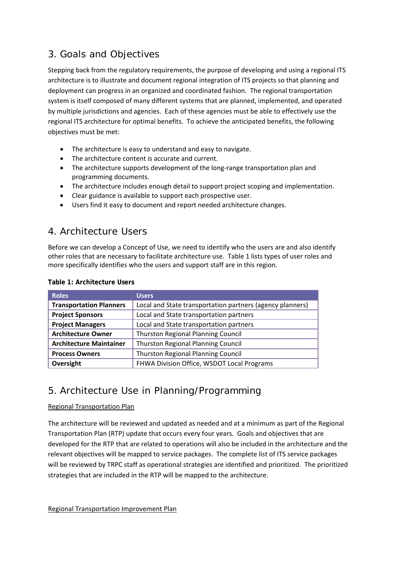## 3. Goals and Objectives

Stepping back from the regulatory requirements, the purpose of developing and using a regional ITS architecture is to illustrate and document regional integration of ITS projects so that planning and deployment can progress in an organized and coordinated fashion. The regional transportation system is itself composed of many different systems that are planned, implemented, and operated by multiple jurisdictions and agencies. Each of these agencies must be able to effectively use the regional ITS architecture for optimal benefits. To achieve the anticipated benefits, the following objectives must be met:

- The architecture is easy to understand and easy to navigate.
- The architecture content is accurate and current.
- The architecture supports development of the long-range transportation plan and programming documents.
- The architecture includes enough detail to support project scoping and implementation.
- Clear guidance is available to support each prospective user.
- Users find it easy to document and report needed architecture changes.

## 4. Architecture Users

Before we can develop a Concept of Use, we need to identify who the users are and also identify other roles that are necessary to facilitate architecture use. [Table 1](#page-3-0) lists types of user roles and more specifically identifies who the users and support staff are in this region.

| <b>Roles</b>                                                       | <b>Users</b>                                              |  |
|--------------------------------------------------------------------|-----------------------------------------------------------|--|
| <b>Transportation Planners</b>                                     | Local and State transportation partners (agency planners) |  |
| <b>Project Sponsors</b>                                            | Local and State transportation partners                   |  |
| <b>Project Managers</b>                                            | Local and State transportation partners                   |  |
| <b>Architecture Owner</b>                                          | <b>Thurston Regional Planning Council</b>                 |  |
| <b>Architecture Maintainer</b>                                     | <b>Thurston Regional Planning Council</b>                 |  |
| <b>Thurston Regional Planning Council</b><br><b>Process Owners</b> |                                                           |  |
| Oversight                                                          | FHWA Division Office, WSDOT Local Programs                |  |

#### <span id="page-3-0"></span>**Table 1: Architecture Users**

## 5. Architecture Use in Planning/Programming

#### Regional Transportation Plan

The architecture will be reviewed and updated as needed and at a minimum as part of the Regional Transportation Plan (RTP) update that occurs every four years. Goals and objectives that are developed for the RTP that are related to operations will also be included in the architecture and the relevant objectives will be mapped to service packages. The complete list of ITS service packages will be reviewed by TRPC staff as operational strategies are identified and prioritized. The prioritized strategies that are included in the RTP will be mapped to the architecture.

Regional Transportation Improvement Plan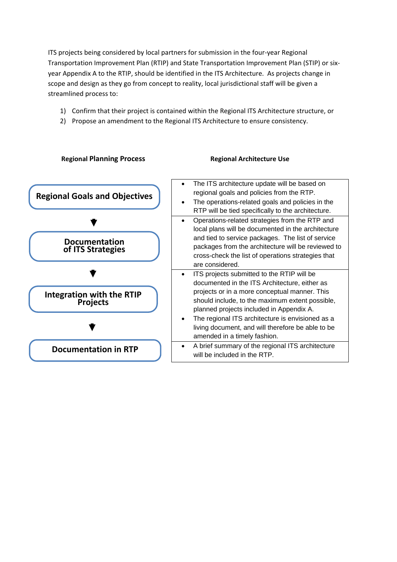ITS projects being considered by local partners for submission in the four-year Regional Transportation Improvement Plan (RTIP) and State Transportation Improvement Plan (STIP) or sixyear Appendix A to the RTIP, should be identified in the ITS Architecture. As projects change in scope and design as they go from concept to reality, local jurisdictional staff will be given a streamlined process to:

- 1) Confirm that their project is contained within the Regional ITS Architecture structure, or
- 2) Propose an amendment to the Regional ITS Architecture to ensure consistency.

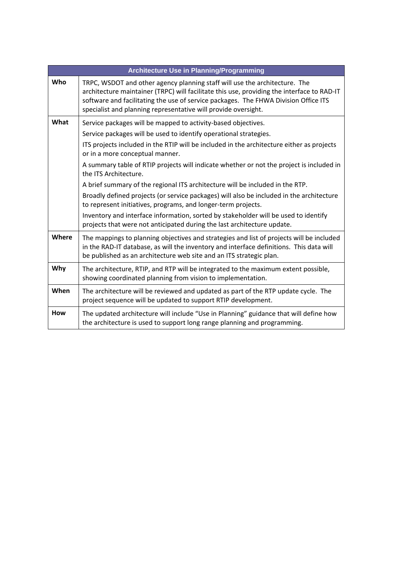| <b>Architecture Use in Planning/Programming</b> |                                                                                                                                                                                                                                                                                                                                   |  |
|-------------------------------------------------|-----------------------------------------------------------------------------------------------------------------------------------------------------------------------------------------------------------------------------------------------------------------------------------------------------------------------------------|--|
| Who                                             | TRPC, WSDOT and other agency planning staff will use the architecture. The<br>architecture maintainer (TRPC) will facilitate this use, providing the interface to RAD-IT<br>software and facilitating the use of service packages. The FHWA Division Office ITS<br>specialist and planning representative will provide oversight. |  |
| What                                            | Service packages will be mapped to activity-based objectives.                                                                                                                                                                                                                                                                     |  |
|                                                 | Service packages will be used to identify operational strategies.                                                                                                                                                                                                                                                                 |  |
|                                                 | ITS projects included in the RTIP will be included in the architecture either as projects<br>or in a more conceptual manner.                                                                                                                                                                                                      |  |
|                                                 | A summary table of RTIP projects will indicate whether or not the project is included in<br>the ITS Architecture.                                                                                                                                                                                                                 |  |
|                                                 | A brief summary of the regional ITS architecture will be included in the RTP.                                                                                                                                                                                                                                                     |  |
|                                                 | Broadly defined projects (or service packages) will also be included in the architecture<br>to represent initiatives, programs, and longer-term projects.                                                                                                                                                                         |  |
|                                                 | Inventory and interface information, sorted by stakeholder will be used to identify<br>projects that were not anticipated during the last architecture update.                                                                                                                                                                    |  |
| Where                                           | The mappings to planning objectives and strategies and list of projects will be included<br>in the RAD-IT database, as will the inventory and interface definitions. This data will<br>be published as an architecture web site and an ITS strategic plan.                                                                        |  |
| Why                                             | The architecture, RTIP, and RTP will be integrated to the maximum extent possible,<br>showing coordinated planning from vision to implementation.                                                                                                                                                                                 |  |
| When                                            | The architecture will be reviewed and updated as part of the RTP update cycle. The<br>project sequence will be updated to support RTIP development.                                                                                                                                                                               |  |
| <b>How</b>                                      | The updated architecture will include "Use in Planning" guidance that will define how<br>the architecture is used to support long range planning and programming.                                                                                                                                                                 |  |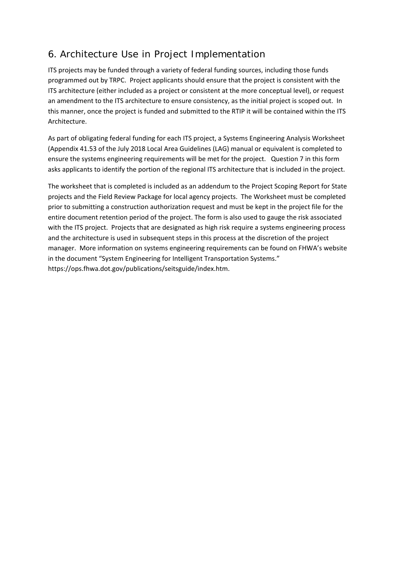## 6. Architecture Use in Project Implementation

ITS projects may be funded through a variety of federal funding sources, including those funds programmed out by TRPC. Project applicants should ensure that the project is consistent with the ITS architecture (either included as a project or consistent at the more conceptual level), or request an amendment to the ITS architecture to ensure consistency, as the initial project is scoped out. In this manner, once the project is funded and submitted to the RTIP it will be contained within the ITS Architecture.

As part of obligating federal funding for each ITS project, a Systems Engineering Analysis Worksheet (Appendix 41.53 of the July 2018 Local Area Guidelines (LAG) manual or equivalent is completed to ensure the systems engineering requirements will be met for the project. Question 7 in this form asks applicants to identify the portion of the regional ITS architecture that is included in the project.

The worksheet that is completed is included as an addendum to the Project Scoping Report for State projects and the Field Review Package for local agency projects. The Worksheet must be completed prior to submitting a construction authorization request and must be kept in the project file for the entire document retention period of the project. The form is also used to gauge the risk associated with the ITS project. Projects that are designated as high risk require a systems engineering process and the architecture is used in subsequent steps in this process at the discretion of the project manager. More information on systems engineering requirements can be found on FHWA's website in the document "System Engineering for Intelligent Transportation Systems." https://ops.fhwa.dot.gov/publications/seitsguide/index.htm.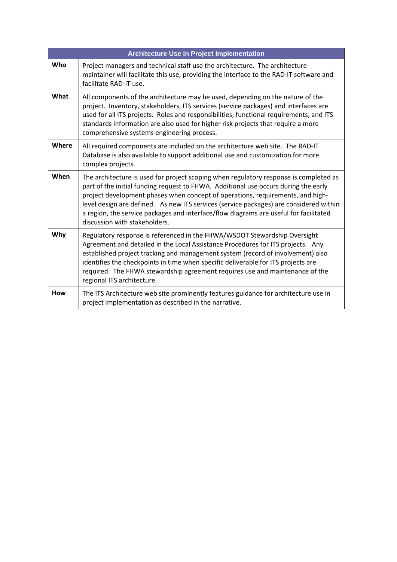| <b>Architecture Use in Project Implementation</b> |                                                                                                                                                                                                                                                                                                                                                                                                                                                                                    |  |
|---------------------------------------------------|------------------------------------------------------------------------------------------------------------------------------------------------------------------------------------------------------------------------------------------------------------------------------------------------------------------------------------------------------------------------------------------------------------------------------------------------------------------------------------|--|
| Who                                               | Project managers and technical staff use the architecture. The architecture<br>maintainer will facilitate this use, providing the interface to the RAD-IT software and<br>facilitate RAD-IT use.                                                                                                                                                                                                                                                                                   |  |
| What                                              | All components of the architecture may be used, depending on the nature of the<br>project. Inventory, stakeholders, ITS services (service packages) and interfaces are<br>used for all ITS projects. Roles and responsibilities, functional requirements, and ITS<br>standards information are also used for higher risk projects that require a more<br>comprehensive systems engineering process.                                                                                |  |
| Where                                             | All required components are included on the architecture web site. The RAD-IT<br>Database is also available to support additional use and customization for more<br>complex projects.                                                                                                                                                                                                                                                                                              |  |
| When                                              | The architecture is used for project scoping when regulatory response is completed as<br>part of the initial funding request to FHWA. Additional use occurs during the early<br>project development phases when concept of operations, requirements, and high-<br>level design are defined. As new ITS services (service packages) are considered within<br>a region, the service packages and interface/flow diagrams are useful for facilitated<br>discussion with stakeholders. |  |
| Why                                               | Regulatory response is referenced in the FHWA/WSDOT Stewardship Oversight<br>Agreement and detailed in the Local Assistance Procedures for ITS projects. Any<br>established project tracking and management system (record of involvement) also<br>identifies the checkpoints in time when specific deliverable for ITS projects are<br>required. The FHWA stewardship agreement requires use and maintenance of the<br>regional ITS architecture.                                 |  |
| <b>How</b>                                        | The ITS Architecture web site prominently features guidance for architecture use in<br>project implementation as described in the narrative.                                                                                                                                                                                                                                                                                                                                       |  |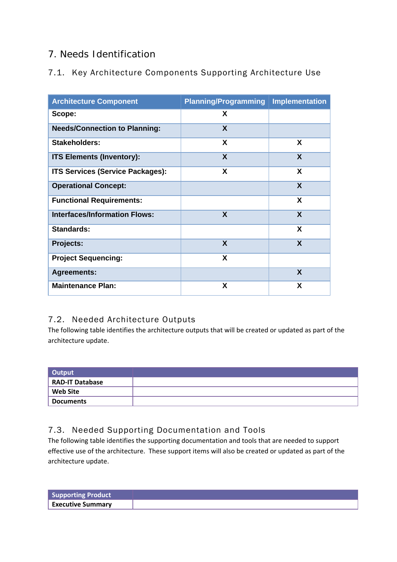## 7. Needs Identification

## 7.1. Key Architecture Components Supporting Architecture Use

| <b>Architecture Component</b>           | <b>Planning/Programming</b> | <b>Implementation</b> |
|-----------------------------------------|-----------------------------|-----------------------|
| Scope:                                  | X                           |                       |
| <b>Needs/Connection to Planning:</b>    | X                           |                       |
| Stakeholders:                           | X                           | X                     |
| <b>ITS Elements (Inventory):</b>        | X                           | $\mathbf{x}$          |
| <b>ITS Services (Service Packages):</b> | X                           | X                     |
| <b>Operational Concept:</b>             |                             | X                     |
| <b>Functional Requirements:</b>         |                             | X                     |
| <b>Interfaces/Information Flows:</b>    | X                           | X                     |
| <b>Standards:</b>                       |                             | X                     |
| Projects:                               | X                           | X                     |
| <b>Project Sequencing:</b>              | X                           |                       |
| <b>Agreements:</b>                      |                             | $\boldsymbol{X}$      |
| <b>Maintenance Plan:</b>                | X                           | X                     |

### 7.2. Needed Architecture Outputs

The following table identifies the architecture outputs that will be created or updated as part of the architecture update.

| Output                 |  |
|------------------------|--|
| <b>RAD-IT Database</b> |  |
| <b>Web Site</b>        |  |
| <b>Documents</b>       |  |

## 7.3. Needed Supporting Documentation and Tools

The following table identifies the supporting documentation and tools that are needed to support effective use of the architecture. These support items will also be created or updated as part of the architecture update.

| <b>Supporting Product</b> |  |
|---------------------------|--|
| <b>Executive Summary</b>  |  |